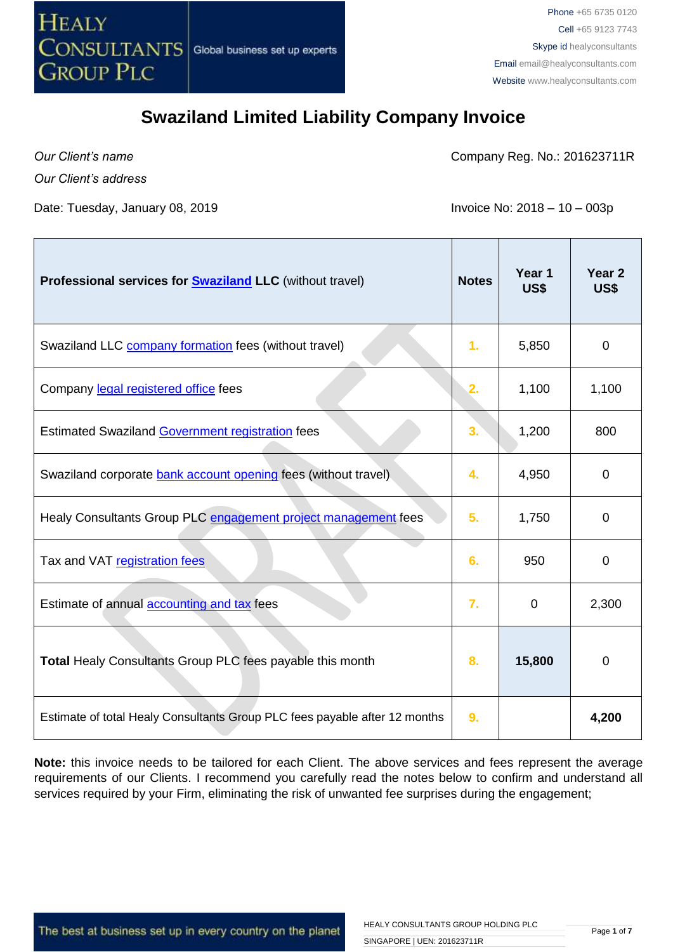

*Our Client's name*

Company Reg. No.: 201623711R

*Our Client's address* 

Date: Tuesday, January 08, 2019 **Invoice No: 2018 – 10 – 003p** 

| Professional services for <b>Swaziland LLC</b> (without travel)            | <b>Notes</b>   | Year 1<br>US\$ | Year <sub>2</sub><br><b>US\$</b> |
|----------------------------------------------------------------------------|----------------|----------------|----------------------------------|
| Swaziland LLC company formation fees (without travel)                      | 1.             | 5,850          | 0                                |
| Company legal registered office fees                                       | 2.             | 1,100          | 1,100                            |
| Estimated Swaziland Government registration fees                           | 3.             | 1,200          | 800                              |
| Swaziland corporate bank account opening fees (without travel)             | 4.             | 4,950          | 0                                |
| Healy Consultants Group PLC engagement project management fees             | 5 <sub>1</sub> | 1,750          | $\overline{0}$                   |
| Tax and VAT registration fees                                              | 6.             | 950            | $\mathbf 0$                      |
| Estimate of annual accounting and tax fees                                 | 7.             | $\mathbf 0$    | 2,300                            |
| Total Healy Consultants Group PLC fees payable this month                  | 8.             | 15,800         | 0                                |
| Estimate of total Healy Consultants Group PLC fees payable after 12 months | 9.             |                | 4,200                            |

**Note:** this invoice needs to be tailored for each Client. The above services and fees represent the average requirements of our Clients. I recommend you carefully read the notes below to confirm and understand all services required by your Firm, eliminating the risk of unwanted fee surprises during the engagement;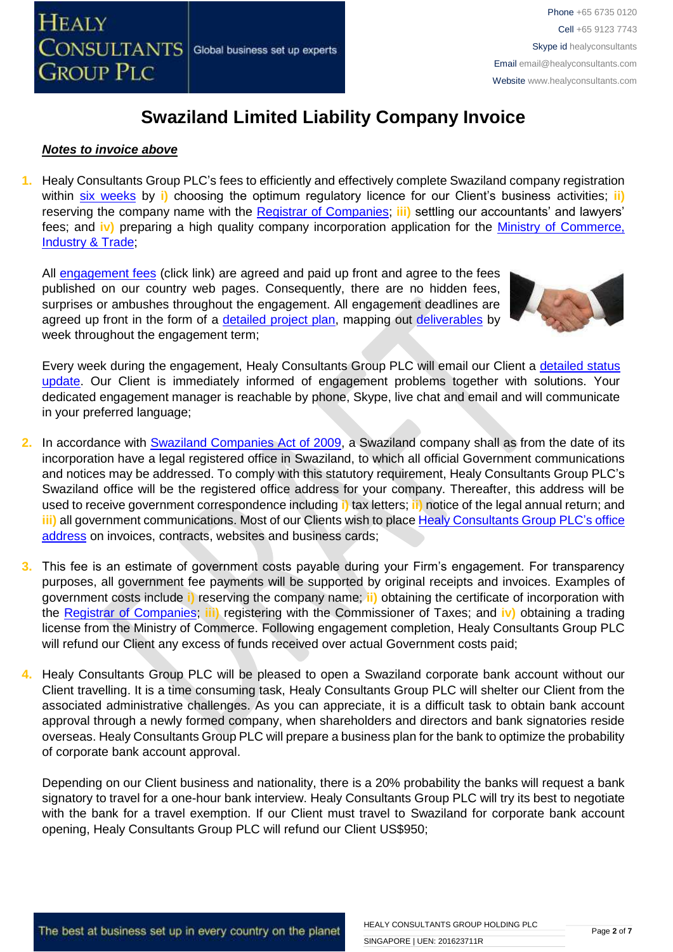

#### *Notes to invoice above*

**1.** Healy Consultants Group PLC's fees to efficiently and effectively complete Swaziland company registration within [six weeks](http://www.healyconsultants.com/swaziland-company-registration/fees-timelines/) by **i)** choosing the optimum regulatory licence for our Client's business activities; **ii)** reserving the company name with the [Registrar of Companies;](http://www.gov.sz/index.php?option=com_content&id=522&Itemid=254) **iii)** settling our accountants' and lawyers' fees; and **iv)** preparing a high quality company incorporation application for the [Ministry of Commerce,](http://www.gov.sz/index.php?option=com_content&view=article&id=228&Itemid=306)  [Industry & Trade;](http://www.gov.sz/index.php?option=com_content&view=article&id=228&Itemid=306)

All [engagement fees](http://www.healyconsultants.com/company-registration-fees/) (click link) are agreed and paid up front and agree to the fees published on our country web pages. Consequently, there are no hidden fees, surprises or ambushes throughout the engagement. All engagement deadlines are agreed up front in the form of a [detailed project plan,](http://www.healyconsultants.com/index-important-links/example-project-plan/) mapping out [deliverables](http://www.healyconsultants.com/deliverables-to-our-clients/) by week throughout the engagement term;



Every week during the engagement, Healy Consultants Group PLC will email our Client a [detailed status](http://www.healyconsultants.com/index-important-links/weekly-engagement-status-email/)  [update.](http://www.healyconsultants.com/index-important-links/weekly-engagement-status-email/) Our Client is immediately informed of engagement problems together with solutions. Your dedicated engagement manager is reachable by phone, Skype, live chat and email and will communicate in your preferred language;

- **2.** In accordance with [Swaziland Companies Act](http://www.gov.sz/index.php?option=com_content&id=377&Itemid=141) of 2009, a Swaziland company shall as from the date of its incorporation have a legal registered office in Swaziland, to which all official Government communications and notices may be addressed. To comply with this statutory requirement, Healy Consultants Group PLC's Swaziland office will be the registered office address for your company. Thereafter, this address will be used to receive government correspondence including **i)** tax letters; **ii)** notice of the legal annual return; and **iii)** all government communications. Most of our Clients wish to place [Healy Consultants Group PLC's](http://www.healyconsultants.com/corporate-outsourcing-services/company-secretary-and-legal-registered-office/) office [address](http://www.healyconsultants.com/corporate-outsourcing-services/company-secretary-and-legal-registered-office/) on invoices, contracts, websites and business cards;
- **3.** This fee is an estimate of government costs payable during your Firm's engagement. For transparency purposes, all government fee payments will be supported by original receipts and invoices. Examples of government costs include **i)** reserving the company name; **ii)** obtaining the certificate of incorporation with the [Registrar of Companies;](http://www.gov.sz/index.php?option=com_content&id=522&Itemid=254) **iii)** registering with the Commissioner of Taxes; and **iv)** obtaining a trading license from the Ministry of Commerce. Following engagement completion, Healy Consultants Group PLC will refund our Client any excess of funds received over actual Government costs paid;
- **4.** Healy Consultants Group PLC will be pleased to open a Swaziland corporate bank account without our Client travelling. It is a time consuming task, Healy Consultants Group PLC will shelter our Client from the associated administrative challenges. As you can appreciate, it is a difficult task to obtain bank account approval through a newly formed company, when shareholders and directors and bank signatories reside overseas. Healy Consultants Group PLC will prepare a business plan for the bank to optimize the probability of corporate bank account approval.

Depending on our Client business and nationality, there is a 20% probability the banks will request a bank signatory to travel for a one-hour bank interview. Healy Consultants Group PLC will try its best to negotiate with the bank for a travel exemption. If our Client must travel to Swaziland for corporate bank account opening, Healy Consultants Group PLC will refund our Client US\$950;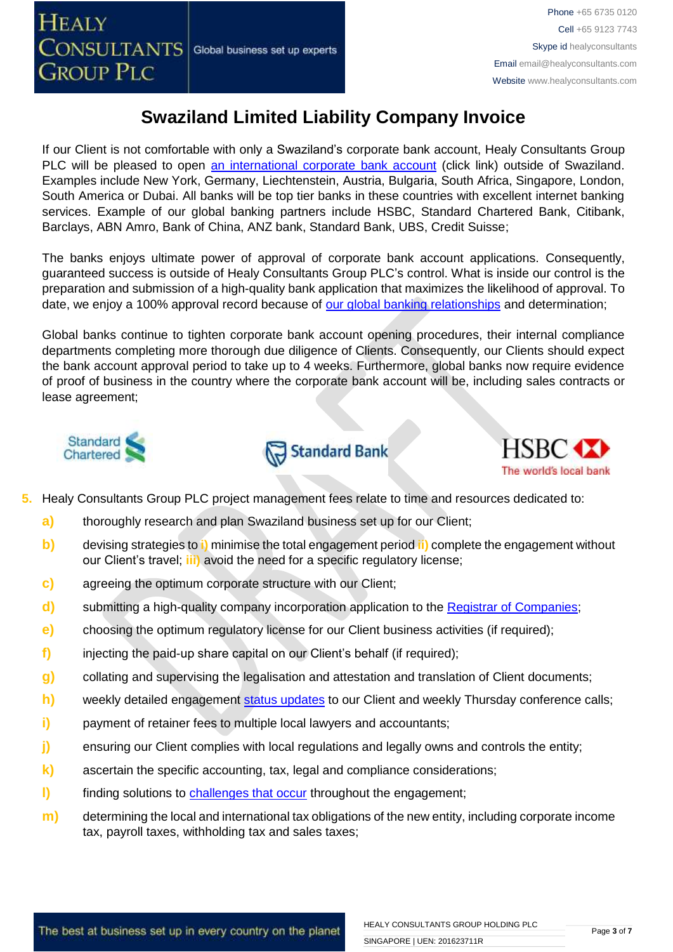If our Client is not comfortable with only a Swaziland's corporate bank account, Healy Consultants Group PLC will be pleased to open [an international corporate bank account](http://www.healyconsultants.com/international-banking/) (click link) outside of Swaziland. Examples include New York, Germany, Liechtenstein, Austria, Bulgaria, South Africa, Singapore, London, South America or Dubai. All banks will be top tier banks in these countries with excellent internet banking services. Example of our global banking partners include HSBC, Standard Chartered Bank, Citibank, Barclays, ABN Amro, Bank of China, ANZ bank, Standard Bank, UBS, Credit Suisse;

The banks enjoys ultimate power of approval of corporate bank account applications. Consequently, guaranteed success is outside of Healy Consultants Group PLC's control. What is inside our control is the preparation and submission of a high-quality bank application that maximizes the likelihood of approval. To date, we enjoy a 100% approval record because of [our global banking relationships](http://www.healyconsultants.com/international-banking/corporate-accounts/) and determination;

Global banks continue to tighten corporate bank account opening procedures, their internal compliance departments completing more thorough due diligence of Clients. Consequently, our Clients should expect the bank account approval period to take up to 4 weeks. Furthermore, global banks now require evidence of proof of business in the country where the corporate bank account will be, including sales contracts or lease agreement;







- **5.** Healy Consultants Group PLC project management fees relate to time and resources dedicated to:
	- **a)** thoroughly research and plan Swaziland business set up for our Client;
	- **b)** devising strategies to **i)** minimise the total engagement period **ii)** complete the engagement without our Client's travel; **iii)** avoid the need for a specific regulatory license;
	- **c)** agreeing the optimum corporate structure with our Client;
	- **d)** submitting a high-quality company incorporation application to the [Registrar of Companies](http://www.gov.sz/index.php?option=com_content&id=522&Itemid=254)[;](http://www.dubaided.gov.ae/en/Pages/default.aspx)
	- **e)** choosing the optimum regulatory license for our Client business activities (if required);
	- **f)** injecting the paid-up share capital on our Client's behalf (if required);
	- **g)** collating and supervising the legalisation and attestation and translation of Client documents;
	- **h)** weekly detailed engagement [status updates](http://www.healyconsultants.com/index-important-links/weekly-engagement-status-email/) to our Client and weekly Thursday conference calls;
	- **i)** payment of retainer fees to multiple local lawyers and accountants;
	- **j)** ensuring our Client complies with local regulations and legally owns and controls the entity;
	- **k)** ascertain the specific accounting, tax, legal and compliance considerations;
	- **l)** finding solutions to [challenges that occur](http://www.healyconsultants.com/engagement-project-management/) throughout the engagement;
	- **m)** determining the local and international tax obligations of the new entity, including corporate income tax, payroll taxes, withholding tax and sales taxes;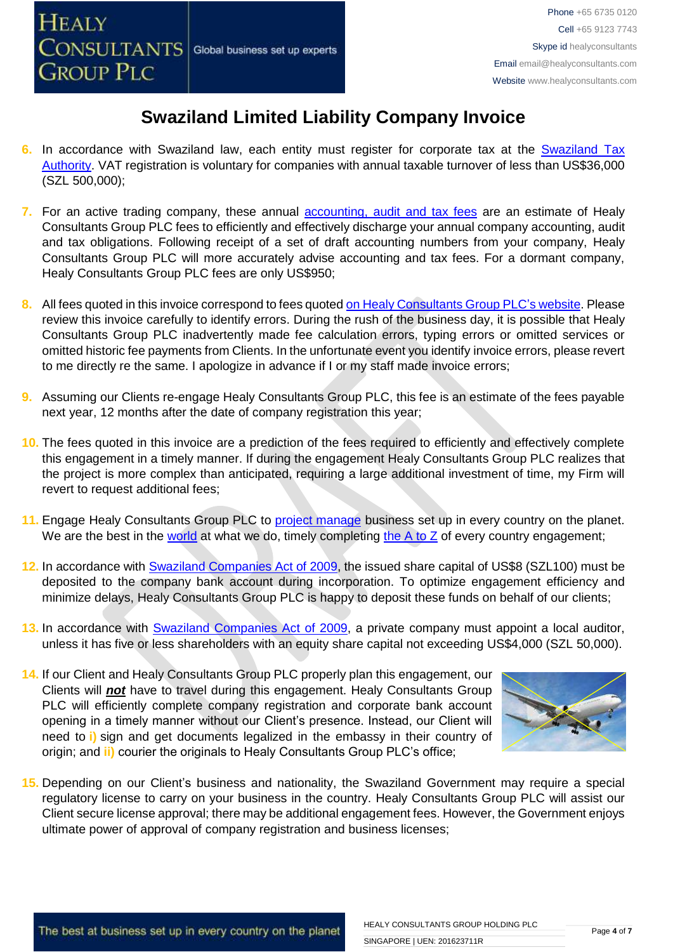- **6.** In accordance with Swaziland law, each entity must register for corporate tax at the [Swaziland Tax](http://www.sra.org.sz/index.php?option=com_content&view=article&id=88&Itemid=216)  [Authority.](http://www.sra.org.sz/index.php?option=com_content&view=article&id=88&Itemid=216) VAT registration is voluntary for companies with annual taxable turnover of less than US\$36,000 (SZL 500,000);
- **7.** For an active trading company, these annual [accounting, audit and tax](http://www.healyconsultants.com/uae-company-registration/accounting-legal/) fees are an estimate of Healy Consultants Group PLC fees to efficiently and effectively discharge your annual company accounting, audit and tax obligations. Following receipt of a set of draft accounting numbers from your company, Healy Consultants Group PLC will more accurately advise accounting and tax fees. For a dormant company, Healy Consultants Group PLC fees are only US\$950;
- **8.** All fees quoted in this invoice correspond to fees quoted [on Healy Consultants Group PLC's](http://www.healyconsultants.com/company-registration-fees/) website. Please review this invoice carefully to identify errors. During the rush of the business day, it is possible that Healy Consultants Group PLC inadvertently made fee calculation errors, typing errors or omitted services or omitted historic fee payments from Clients. In the unfortunate event you identify invoice errors, please revert to me directly re the same. I apologize in advance if I or my staff made invoice errors;
- **9.** Assuming our Clients re-engage Healy Consultants Group PLC, this fee is an estimate of the fees payable next year, 12 months after the date of company registration this year;
- **10.** The fees quoted in this invoice are a prediction of the fees required to efficiently and effectively complete this engagement in a timely manner. If during the engagement Healy Consultants Group PLC realizes that the project is more complex than anticipated, requiring a large additional investment of time, my Firm will revert to request additional fees;
- 11. Engage Healy Consultants Group PLC to **project manage** business set up in every country on the planet. We are the best in the [world](http://www.healyconsultants.com/best-in-the-world/) at what we do, timely completing the  $A$  to  $Z$  of every country engagement;
- **12.** In accordance with [Swaziland Companies Act](http://www.gov.sz/index.php?option=com_content&id=377&Itemid=141) of 2009, the issued share capital of US\$8 (SZL100) must be deposited to the company bank account during incorporation. To optimize engagement efficiency and minimize delays, Healy Consultants Group PLC is happy to deposit these funds on behalf of our clients;
- **13.** In accordance with [Swaziland Companies Act](http://www.gov.sz/index.php?option=com_content&id=377&Itemid=141) of 2009, a private company must appoint a local auditor, unless it has five or less shareholders with an equity share capital not exceeding US\$4,000 (SZL 50,000).
- **14.** If our Client and Healy Consultants Group PLC properly plan this engagement, our Clients will *not* have to travel during this engagement. Healy Consultants Group PLC will efficiently complete company registration and corporate bank account opening in a timely manner without our Client's presence. Instead, our Client will need to **i)** sign and get documents legalized in the embassy in their country of origin; and **ii)** courier the originals to Healy Consultants Group PLC's office;



**15.** Depending on our Client's business and nationality, the Swaziland Government may require a special regulatory license to carry on your business in the country. Healy Consultants Group PLC will assist our Client secure license approval; there may be additional engagement fees. However, the Government enjoys ultimate power of approval of company registration and business licenses;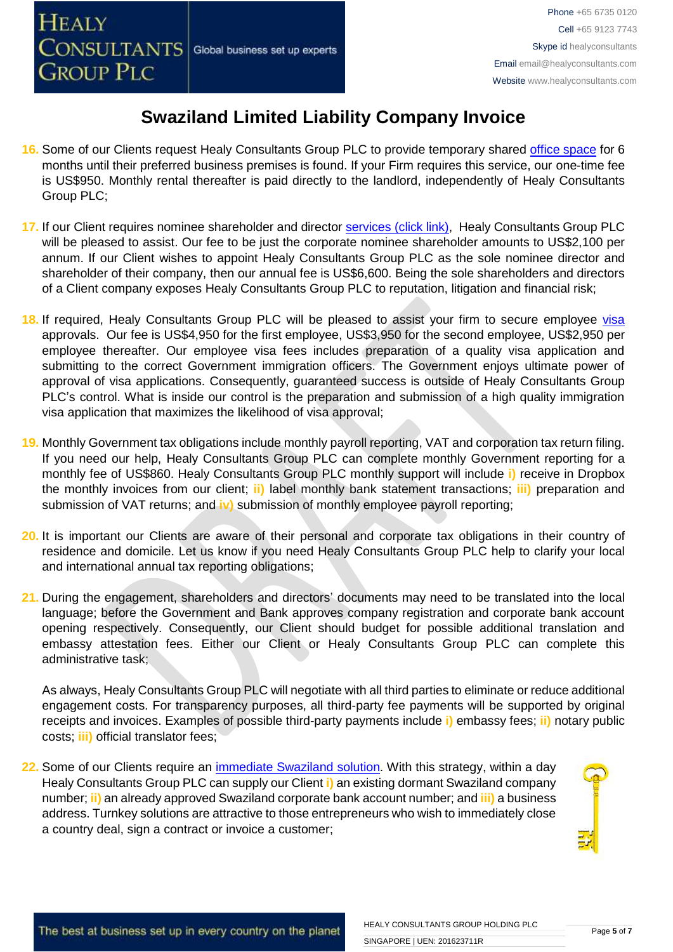- **16.** Some of our Clients request Healy Consultants Group PLC to provide temporary shared [office space](http://www.healyconsultants.com/virtual-office/) for 6 months until their preferred business premises is found. If your Firm requires this service, our one-time fee is US\$950. Monthly rental thereafter is paid directly to the landlord, independently of Healy Consultants Group PLC;
- **17.** If our Client requires nominee shareholder and director services [\(click link\),](http://www.healyconsultants.com/corporate-outsourcing-services/nominee-shareholders-directors/) Healy Consultants Group PLC will be pleased to assist. Our fee to be just the corporate nominee shareholder amounts to US\$2,100 per annum. If our Client wishes to appoint Healy Consultants Group PLC as the sole nominee director and shareholder of their company, then our annual fee is US\$6,600. Being the sole shareholders and directors of a Client company exposes Healy Consultants Group PLC to reputation, litigation and financial risk;
- **18.** If required, Healy Consultants Group PLC will be pleased to assist your firm to secure employee [visa](http://www.healyconsultants.com/migration/) approvals. Our fee is US\$4,950 for the first employee, US\$3,950 for the second employee, US\$2,950 per employee thereafter. Our employee visa fees includes preparation of a quality visa application and submitting to the correct Government immigration officers. The Government enjoys ultimate power of approval of visa applications. Consequently, guaranteed success is outside of Healy Consultants Group PLC's control. What is inside our control is the preparation and submission of a high quality immigration visa application that maximizes the likelihood of visa approval;
- **19.** Monthly Government tax obligations include monthly payroll reporting, VAT and corporation tax return filing. If you need our help, Healy Consultants Group PLC can complete monthly Government reporting for a monthly fee of US\$860. Healy Consultants Group PLC monthly support will include **i)** receive in Dropbox the monthly invoices from our client; **ii)** label monthly bank statement transactions; **iii)** preparation and submission of VAT returns; and **iv)** submission of monthly employee payroll reporting;
- **20.** It is important our Clients are aware of their personal and corporate tax obligations in their country of residence and domicile. Let us know if you need Healy Consultants Group PLC help to clarify your local and international annual tax reporting obligations;
- **21.** During the engagement, shareholders and directors' documents may need to be translated into the local language; before the Government and Bank approves company registration and corporate bank account opening respectively. Consequently, our Client should budget for possible additional translation and embassy attestation fees. Either our Client or Healy Consultants Group PLC can complete this administrative task;

As always, Healy Consultants Group PLC will negotiate with all third parties to eliminate or reduce additional engagement costs. For transparency purposes, all third-party fee payments will be supported by original receipts and invoices. Examples of possible third-party payments include **i)** embassy fees; **ii)** notary public costs; **iii)** official translator fees;

**22.** Some of our Clients require an [immediate Swaziland](http://www.healyconsultants.com/turnkey-solutions/) solution. With this strategy, within a day Healy Consultants Group PLC can supply our Client **i)** an existing dormant Swaziland company number; **ii)** an already approved Swaziland corporate bank account number; and **iii)** a business address. Turnkey solutions are attractive to those entrepreneurs who wish to immediately close a country deal, sign a contract or invoice a customer;

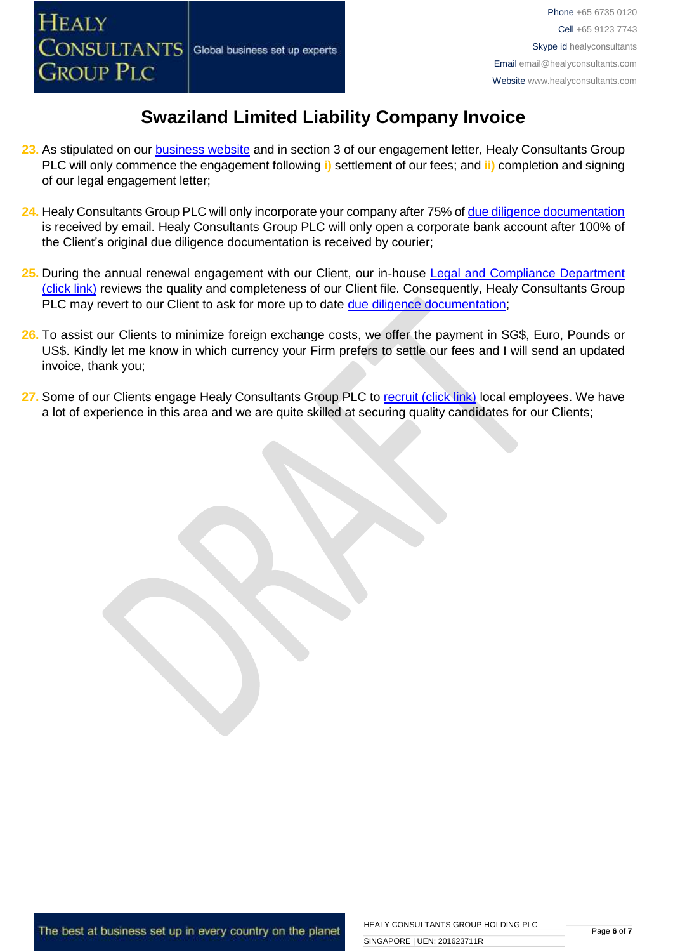

- **23.** As stipulated on our [business website](http://www.healyconsultants.com/) and in section 3 of our engagement letter, Healy Consultants Group PLC will only commence the engagement following **i)** settlement of our fees; and **ii)** completion and signing of our legal engagement letter;
- 24. Healy Consultants Group PLC will only incorporate your company after 75% of [due diligence documentation](http://www.healyconsultants.com/due-diligence/) is received by email. Healy Consultants Group PLC will only open a corporate bank account after 100% of the Client's original due diligence documentation is received by courier;
- 25. During the annual renewal engagement with our Client, our in-house Legal and Compliance Department [\(click link\)](http://www.healyconsultants.com/about-us/key-personnel/cai-xin-profile/) reviews the quality and completeness of our Client file. Consequently, Healy Consultants Group PLC may revert to our Client to ask for more up to date [due diligence documentation;](http://www.healyconsultants.com/due-diligence/)
- **26.** To assist our Clients to minimize foreign exchange costs, we offer the payment in SG\$, Euro, Pounds or US\$. Kindly let me know in which currency your Firm prefers to settle our fees and I will send an updated invoice, thank you;
- 27. Some of our Clients engage Healy Consultants Group PLC to [recruit \(click link\)](http://www.healyconsultants.com/corporate-outsourcing-services/how-we-help-our-clients-recruit-quality-employees/) local employees. We have a lot of experience in this area and we are quite skilled at securing quality candidates for our Clients;